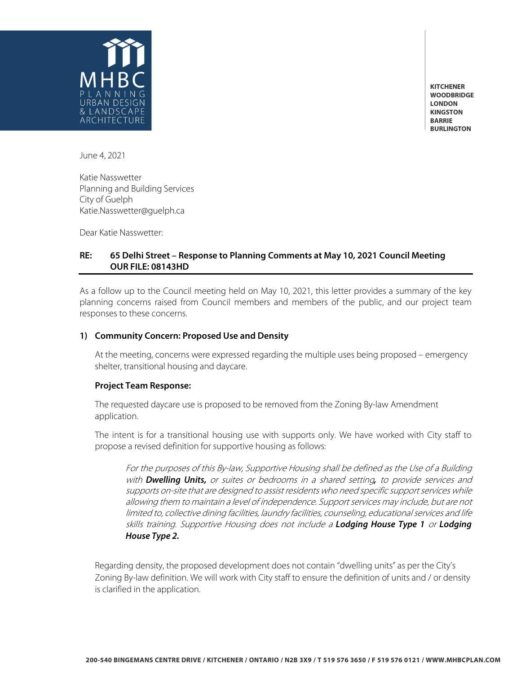

**KITCHENER WOODBRIDGE LONDON KINGSTON BARRIE BURLINGTON**

June 4, 2021

Katie Nasswetter Planning and Building Services City of Guelph Katie.Nasswetter@guelph.ca

Dear Katie Nasswetter:

# **RE: 65 Delhi Street – Response to Planning Comments at May 10, 2021 Council Meeting OUR FILE: 08143HD**

As a follow up to the Council meeting held on May 10, 2021, this letter provides a summary of the key planning concerns raised from Council members and members of the public, and our project team responses to these concerns.

### **1) Community Concern: Proposed Use and Density**

At the meeting, concerns were expressed regarding the multiple uses being proposed – emergency shelter, transitional housing and daycare.

## **Project Team Response:**

The requested daycare use is proposed to be removed from the Zoning By-law Amendment application.

The intent is for a transitional housing use with supports only. We have worked with City staff to propose a revised definition for supportive housing as follows:

For the purposes of this By-law, Supportive Housing shall be defined as the Use of a Building with *Dwelling Units,* or suites or bedrooms in a shared setting*,* to provide services and supports on-site that are designed to assist residents who need specific support services while allowing them to maintain a level of independence. Support services may include, but are not limited to, collective dining facilities, laundry facilities, counseling, educational services and life skills training. Supportive Housing does not include a *Lodging House Type 1* or *Lodging House Type 2.*

Regarding density, the proposed development does not contain "dwelling units" as per the City's Zoning By-law definition. We will work with City staff to ensure the definition of units and / or density is clarified in the application.